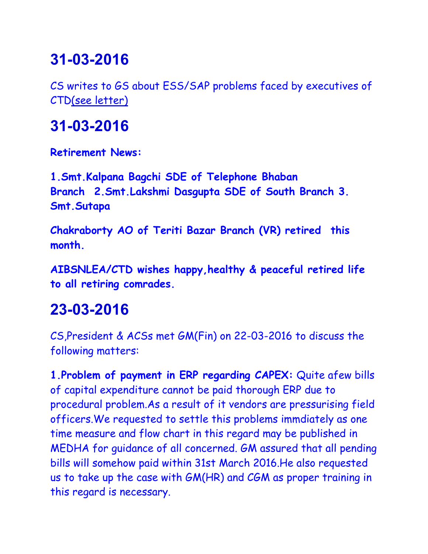# **31-03-2016**

CS writes to GS about ESS/SAP problems faced by executives of CT[D\(see letter\)](http://aibsnleawb.org/CS_2_GS_300316.docx)

## **31-03-2016**

**Retirement News:**

**1.Smt.Kalpana Bagchi SDE of Telephone Bhaban Branch 2.Smt.Lakshmi Dasgupta SDE of South Branch 3. Smt.Sutapa**

**Chakraborty AO of Teriti Bazar Branch (VR) retired this month.**

**AIBSNLEA/CTD wishes happy,healthy & peaceful retired life to all retiring comrades.**

## **23-03-2016**

CS,President & ACSs met GM(Fin) on 22-03-2016 to discuss the following matters:

**1.Problem of payment in ERP regarding CAPEX:** Quite afew bills of capital expenditure cannot be paid thorough ERP due to procedural problem.As a result of it vendors are pressurising field officers.We requested to settle this problems immdiately as one time measure and flow chart in this regard may be published in MEDHA for guidance of all concerned. GM assured that all pending bills will somehow paid within 31st March 2016.He also requested us to take up the case with GM(HR) and CGM as proper training in this regard is necessary.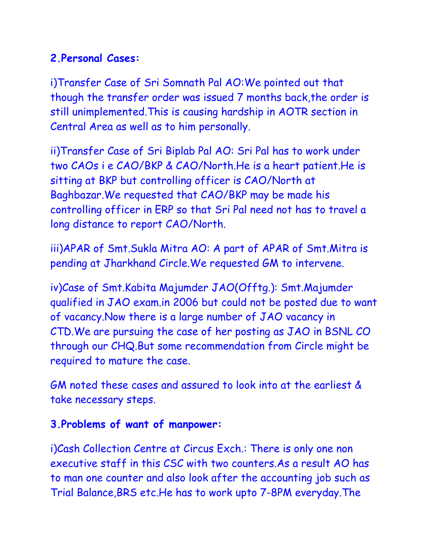### **2.Personal Cases:**

i)Transfer Case of Sri Somnath Pal AO:We pointed out that though the transfer order was issued 7 months back,the order is still unimplemented.This is causing hardship in AOTR section in Central Area as well as to him personally.

ii)Transfer Case of Sri Biplab Pal AO: Sri Pal has to work under two CAOs i e CAO/BKP & CAO/North.He is a heart patient.He is sitting at BKP but controlling officer is CAO/North at Baghbazar.We requested that CAO/BKP may be made his controlling officer in ERP so that Sri Pal need not has to travel a long distance to report CAO/North.

iii)APAR of Smt.Sukla Mitra AO: A part of APAR of Smt.Mitra is pending at Jharkhand Circle.We requested GM to intervene.

iv)Case of Smt.Kabita Majumder JAO(Offtg.): Smt.Majumder qualified in JAO exam.in 2006 but could not be posted due to want of vacancy.Now there is a large number of JAO vacancy in CTD.We are pursuing the case of her posting as JAO in BSNL CO through our CHQ.But some recommendation from Circle might be required to mature the case.

GM noted these cases and assured to look into at the earliest & take necessary steps.

### **3.Problems of want of manpower:**

i)Cash Collection Centre at Circus Exch.: There is only one non executive staff in this CSC with two counters.As a result AO has to man one counter and also look after the accounting job such as Trial Balance,BRS etc.He has to work upto 7-8PM everyday.The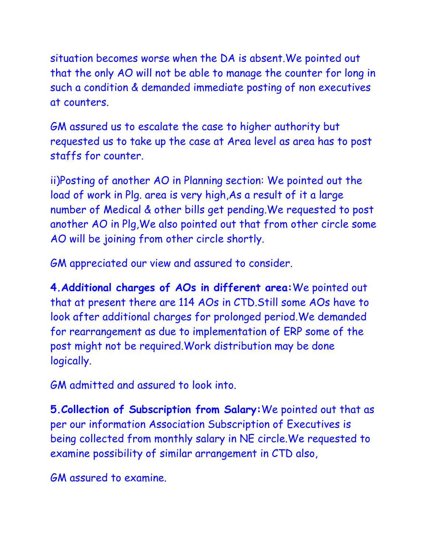situation becomes worse when the DA is absent.We pointed out that the only AO will not be able to manage the counter for long in such a condition & demanded immediate posting of non executives at counters.

GM assured us to escalate the case to higher authority but requested us to take up the case at Area level as area has to post staffs for counter.

ii)Posting of another AO in Planning section: We pointed out the load of work in Plg. area is very high,As a result of it a large number of Medical & other bills get pending.We requested to post another AO in Plg,We also pointed out that from other circle some AO will be joining from other circle shortly.

GM appreciated our view and assured to consider.

**4.Additional charges of AOs in different area:**We pointed out that at present there are 114 AOs in CTD.Still some AOs have to look after additional charges for prolonged period.We demanded for rearrangement as due to implementation of ERP some of the post might not be required.Work distribution may be done logically.

GM admitted and assured to look into.

**5.Collection of Subscription from Salary:**We pointed out that as per our information Association Subscription of Executives is being collected from monthly salary in NE circle.We requested to examine possibility of similar arrangement in CTD also,

GM assured to examine.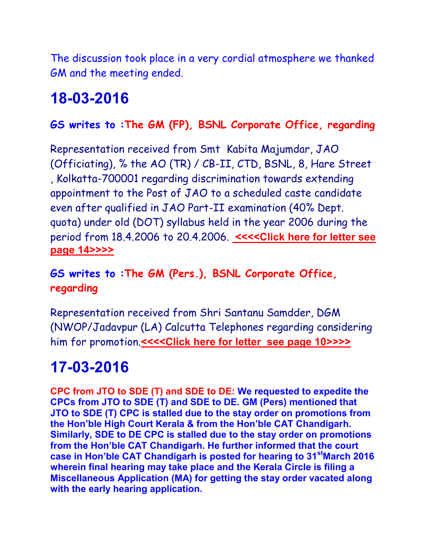The discussion took place in a very cordial atmosphere we thanked GM and the meeting ended.

## **18-03-2016**

### **GS writes to :The GM (FP), BSNL Corporate Office, regarding**

Representation received from Smt Kabita Majumdar, JAO (Officiating), % the AO (TR) / CB-II, CTD, BSNL, 8, Hare Street , Kolkatta-700001 regarding discrimination towards extending appointment to the Post of JAO to a scheduled caste candidate even after qualified in JAO Part-II examination (40% Dept. quota) under old (DOT) syllabus held in the year 2006 during the period from 18.4.2006 to 20.4.2006. **[<<<<Click here for letter see](http://www.aibsnleachq.in/GMFP_160317.pdf)  [page 14>>>>](http://www.aibsnleachq.in/GMFP_160317.pdf)**

### **GS writes to :The GM (Pers.), BSNL Corporate Office, regarding**

Representation received from Shri Santanu Samdder, DGM (NWOP/Jadavpur (LA) Calcutta Telephones regarding considering him for promotion.**[<<<<Click here for letter see page 10>>>>](http://www.aibsnleachq.in/GMP_160317.pdf)**

## **17-03-2016**

**CPC from JTO to SDE (T) and SDE to DE: We requested to expedite the CPCs from JTO to SDE (T) and SDE to DE. GM (Pers) mentioned that JTO to SDE (T) CPC is stalled due to the stay order on promotions from the Hon'ble High Court Kerala & from the Hon'ble CAT Chandigarh. Similarly, SDE to DE CPC is stalled due to the stay order on promotions from the Hon'ble CAT Chandigarh. He further informed that the court case in Hon'ble CAT Chandigarh is posted for hearing to 31stMarch 2016 wherein final hearing may take place and the Kerala Circle is filing a Miscellaneous Application (MA) for getting the stay order vacated along with the early hearing application.**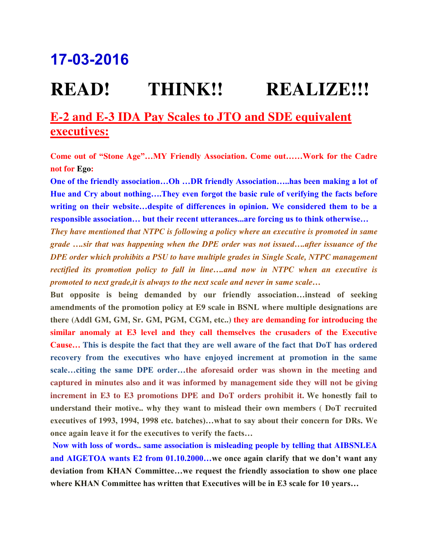## **17-03-2016**

# **READ! THINK!! REALIZE!!!**

### **E-2 and E-3 IDA Pay Scales to JTO and SDE equivalent executives:**

**Come out of "Stone Age"…MY Friendly Association. Come out……Work for the Cadre not for Ego:**

**One of the friendly association…Oh …DR friendly Association…..has been making a lot of**  Hue and Cry about nothing....They even forgot the basic rule of verifying the facts before **writing on their website…despite of differences in opinion. We considered them to be a responsible association… but their recent utterances...are forcing us to think otherwise…**

*They have mentioned that NTPC is following a policy where an executive is promoted in same grade ….sir that was happening when the DPE order was not issued….after issuance of the DPE order which prohibits a PSU to have multiple grades in Single Scale, NTPC management rectified its promotion policy to fall in line….and now in NTPC when an executive is promoted to next grade,it is always to the next scale and never in same scale…*

**But opposite is being demanded by our friendly association…instead of seeking amendments of the promotion policy at E9 scale in BSNL where multiple designations are there (Addl GM, GM, Sr. GM, PGM, CGM, etc..) they are demanding for introducing the similar anomaly at E3 level and they call themselves the crusaders of the Executive Cause… This is despite the fact that they are well aware of the fact that DoT has ordered recovery from the executives who have enjoyed increment at promotion in the same scale…citing the same DPE order…the aforesaid order was shown in the meeting and captured in minutes also and it was informed by management side they will not be giving increment in E3 to E3 promotions DPE and DoT orders prohibit it. We honestly fail to understand their motive.. why they want to mislead their own members ( DoT recruited executives of 1993, 1994, 1998 etc. batches)…what to say about their concern for DRs. We once again leave it for the executives to verify the facts…**

**Now with loss of words.. same association is misleading people by telling that AIBSNLEA and AIGETOA wants E2 from 01.10.2000…we once again clarify that we don't want any deviation from KHAN Committee…we request the friendly association to show one place where KHAN Committee has written that Executives will be in E3 scale for 10 years…**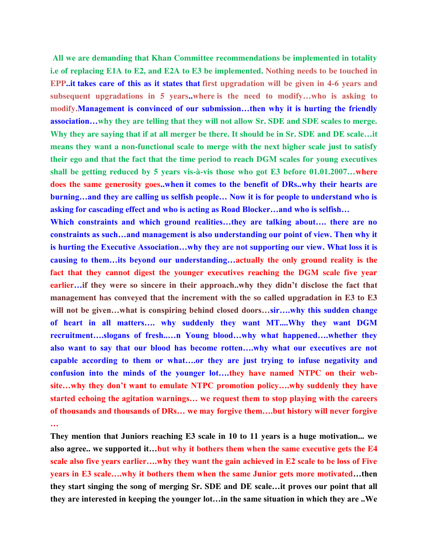**All we are demanding that Khan Committee recommendations be implemented in totality i.e of replacing E1A to E2, and E2A to E3 be implemented. Nothing needs to be touched in EPP..it takes care of this as it states that first upgradation will be given in 4-6 years and subsequent upgradations in 5 years..where is the need to modify…who is asking to modify.Management is convinced of our submission…then why it is hurting the friendly association…why they are telling that they will not allow Sr. SDE and SDE scales to merge. Why they are saying that if at all merger be there. It should be in Sr. SDE and DE scale…it means they want a non-functional scale to merge with the next higher scale just to satisfy their ego and that the fact that the time period to reach DGM scales for young executives shall be getting reduced by 5 years vis-à-vis those who got E3 before 01.01.2007…where does the same generosity goes..when it comes to the benefit of DRs..why their hearts are burning…and they are calling us selfish people… Now it is for people to understand who is asking for cascading effect and who is acting as Road Blocker…and who is selfish…**

**Which constraints and which ground realities…they are talking about…. there are no constraints as such…and management is also understanding our point of view. Then why it is hurting the Executive Association…why they are not supporting our view. What loss it is causing to them…its beyond our understanding…actually the only ground reality is the fact that they cannot digest the younger executives reaching the DGM scale five year earlier…if they were so sincere in their approach..why they didn't disclose the fact that management has conveyed that the increment with the so called upgradation in E3 to E3 will not be given…what is conspiring behind closed doors…sir….why this sudden change of heart in all matters…. why suddenly they want MT....Why they want DGM recruitment….slogans of fresh..…n Young blood…why what happened….whether they also want to say that our blood has become rotten….why what our executives are not capable according to them or what….or they are just trying to infuse negativity and confusion into the minds of the younger lot….they have named NTPC on their website…why they don't want to emulate NTPC promotion policy….why suddenly they have started echoing the agitation warnings… we request them to stop playing with the careers of thousands and thousands of DRs… we may forgive them….but history will never forgive …**

**They mention that Juniors reaching E3 scale in 10 to 11 years is a huge motivation... we also agree.. we supported it…but why it bothers them when the same executive gets the E4 scale also five years earlier….why they want the gain achieved in E2 scale to be loss of Five years in E3 scale….why it bothers them when the same Junior gets more motivated…then they start singing the song of merging Sr. SDE and DE scale…it proves our point that all they are interested in keeping the younger lot…in the same situation in which they are ..We**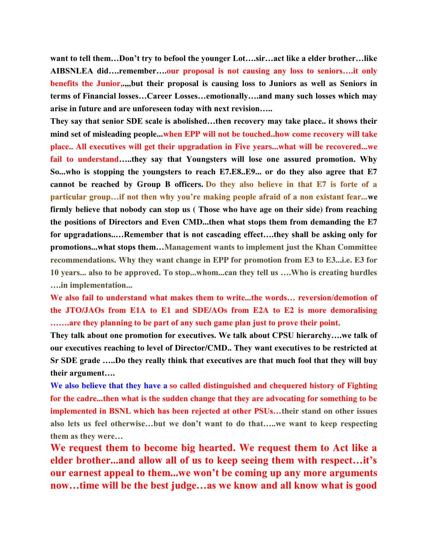**want to tell them…Don't try to befool the younger Lot….sir…act like a elder brother…like AIBSNLEA did….remember….our proposal is not causing any loss to seniors….it only benefits the Junior,.,,,but their proposal is causing loss to Juniors as well as Seniors in terms of Financial losses…Career Losses…emotionally….and many such losses which may arise in future and are unforeseen today with next revision…..**

**They say that senior SDE scale is abolished…then recovery may take place.. it shows their mind set of misleading people...when EPP will not be touched..how come recovery will take place.. All executives will get their upgradation in Five years...what will be recovered...we fail to understand…..they say that Youngsters will lose one assured promotion. Why So...who is stopping the youngsters to reach E7.E8..E9... or do they also agree that E7 cannot be reached by Group B officers. Do they also believe in that E7 is forte of a particular group…if not then why you're making people afraid of a non existant fear...we firmly believe that nobody can stop us ( Those who have age on their side) from reaching the positions of Directors and Even CMD...then what stops them from demanding the E7 for upgradations..…Remember that is not cascading effect….they shall be asking only for promotions...what stops them…Management wants to implement just the Khan Committee recommendations. Why they want change in EPP for promotion from E3 to E3...i.e. E3 for 10 years... also to be approved. To stop...whom...can they tell us ….Who is creating hurdles ….in implementation...**

**We also fail to understand what makes them to write...the words… reversion/demotion of the JTO/JAOs from E1A to E1 and SDE/AOs from E2A to E2 is more demoralising …….are they planning to be part of any such game plan just to prove their point.**

**They talk about one promotion for executives. We talk about CPSU hierarchy….we talk of our executives reaching to level of Director/CMD.. They want executives to be restricted at Sr SDE grade …..Do they really think that executives are that much fool that they will buy their argument….**

**We also believe that they have a so called distinguished and chequered history of Fighting for the cadre...then what is the sudden change that they are advocating for something to be implemented in BSNL which has been rejected at other PSUs…their stand on other issues also lets us feel otherwise…but we don't want to do that…..we want to keep respecting them as they were…** 

**We request them to become big hearted. We request them to Act like a elder brother...and allow all of us to keep seeing them with respect…it's our earnest appeal to them...we won't be coming up any more arguments now…time will be the best judge…as we know and all know what is good**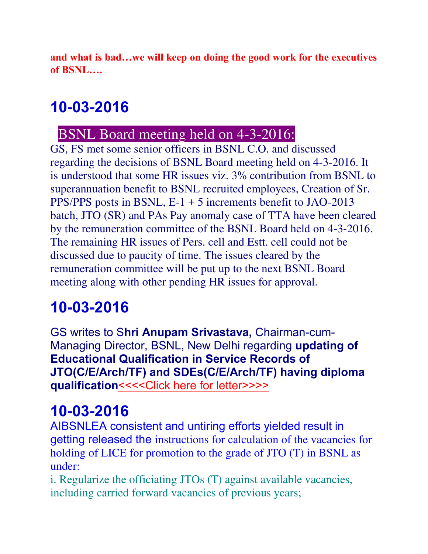**and what is bad…we will keep on doing the good work for the executives of BSNL….**

# **10-03-2016**

## BSNL Board meeting held on 4-3-2016:

GS, FS met some senior officers in BSNL C.O. and discussed regarding the decisions of BSNL Board meeting held on 4-3-2016. It is understood that some HR issues viz. 3% contribution from BSNL to superannuation benefit to BSNL recruited employees, Creation of Sr. PPS/PPS posts in BSNL, E-1 + 5 increments benefit to JAO-2013 batch, JTO (SR) and PAs Pay anomaly case of TTA have been cleared by the remuneration committee of the BSNL Board held on 4-3-2016. The remaining HR issues of Pers. cell and Estt. cell could not be discussed due to paucity of time. The issues cleared by the remuneration committee will be put up to the next BSNL Board meeting along with other pending HR issues for approval.

# **10-03-2016**

GS writes to S**hri Anupam Srivastava,** Chairman-cum-Managing Director, BSNL, New Delhi regarding **updating of Educational Qualification in Service Records of JTO(C/E/Arch/TF) and SDEs(C/E/Arch/TF) having diploma qualification**[<<<<Click here for letter>>>>](http://www.aibsnleachq.in/letter_09032016.pdf)

# **10-03-2016**

AIBSNLEA consistent and untiring efforts yielded result in getting released the instructions for calculation of the vacancies for holding of LICE for promotion to the grade of JTO (T) in BSNL as under:

i. Regularize the officiating JTOs (T) against available vacancies, including carried forward vacancies of previous years;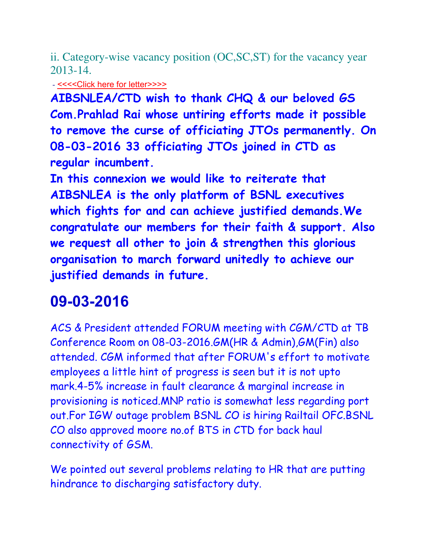ii. Category-wise vacancy position (OC,SC,ST) for the vacancy year 2013-14.

- [<<<<Click here for letter>>>>](http://www.aibsnleachq.in/JTO_LICE_160307.PDF)

**AIBSNLEA/CTD wish to thank CHQ & our beloved GS Com.Prahlad Rai whose untiring efforts made it possible to remove the curse of officiating JTOs permanently. On 08-03-2016 33 officiating JTOs joined in CTD as regular incumbent.**

**In this connexion we would like to reiterate that AIBSNLEA is the only platform of BSNL executives which fights for and can achieve justified demands.We congratulate our members for their faith & support. Also we request all other to join & strengthen this glorious organisation to march forward unitedly to achieve our justified demands in future.**

## **09-03-2016**

ACS & President attended FORUM meeting with CGM/CTD at TB Conference Room on 08-03-2016.GM(HR & Admin),GM(Fin) also attended. CGM informed that after FORUM's effort to motivate employees a little hint of progress is seen but it is not upto mark.4-5% increase in fault clearance & marginal increase in provisioning is noticed.MNP ratio is somewhat less regarding port out.For IGW outage problem BSNL CO is hiring Railtail OFC.BSNL CO also approved moore no.of BTS in CTD for back haul connectivity of GSM.

We pointed out several problems relating to HR that are putting hindrance to discharging satisfactory duty.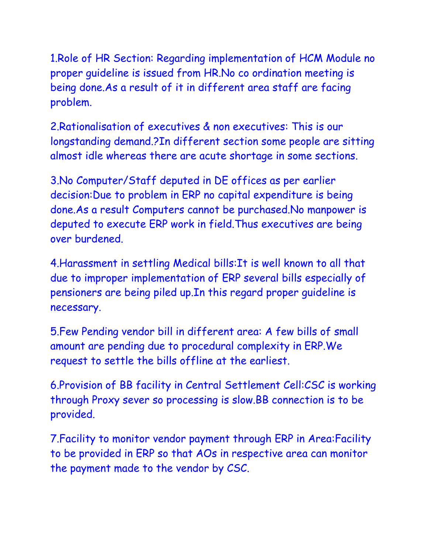1.Role of HR Section: Regarding implementation of HCM Module no proper guideline is issued from HR.No co ordination meeting is being done.As a result of it in different area staff are facing problem.

2.Rationalisation of executives & non executives: This is our longstanding demand.?In different section some people are sitting almost idle whereas there are acute shortage in some sections.

3.No Computer/Staff deputed in DE offices as per earlier decision:Due to problem in ERP no capital expenditure is being done.As a result Computers cannot be purchased.No manpower is deputed to execute ERP work in field.Thus executives are being over burdened.

4.Harassment in settling Medical bills:It is well known to all that due to improper implementation of ERP several bills especially of pensioners are being piled up.In this regard proper guideline is necessary.

5.Few Pending vendor bill in different area: A few bills of small amount are pending due to procedural complexity in ERP.We request to settle the bills offline at the earliest.

6.Provision of BB facility in Central Settlement Cell:CSC is working through Proxy sever so processing is slow.BB connection is to be provided.

7.Facility to monitor vendor payment through ERP in Area:Facility to be provided in ERP so that AOs in respective area can monitor the payment made to the vendor by CSC.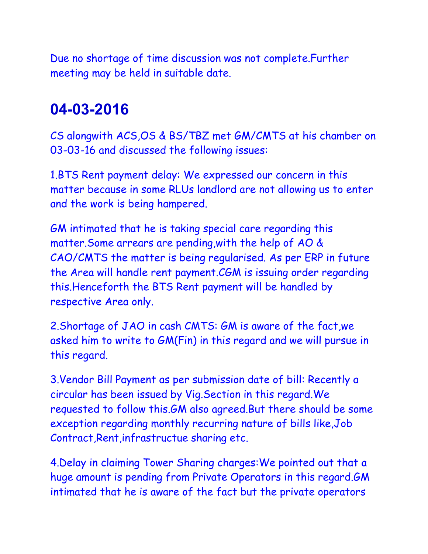Due no shortage of time discussion was not complete.Further meeting may be held in suitable date.

### **04-03-2016**

CS alongwith ACS,OS & BS/TBZ met GM/CMTS at his chamber on 03-03-16 and discussed the following issues:

1.BTS Rent payment delay: We expressed our concern in this matter because in some RLUs landlord are not allowing us to enter and the work is being hampered.

GM intimated that he is taking special care regarding this matter.Some arrears are pending,with the help of AO & CAO/CMTS the matter is being regularised. As per ERP in future the Area will handle rent payment.CGM is issuing order regarding this.Henceforth the BTS Rent payment will be handled by respective Area only.

2.Shortage of JAO in cash CMTS: GM is aware of the fact,we asked him to write to GM(Fin) in this regard and we will pursue in this regard.

3.Vendor Bill Payment as per submission date of bill: Recently a circular has been issued by Vig.Section in this regard.We requested to follow this.GM also agreed.But there should be some exception regarding monthly recurring nature of bills like,Job Contract,Rent,infrastructue sharing etc.

4.Delay in claiming Tower Sharing charges:We pointed out that a huge amount is pending from Private Operators in this regard.GM intimated that he is aware of the fact but the private operators